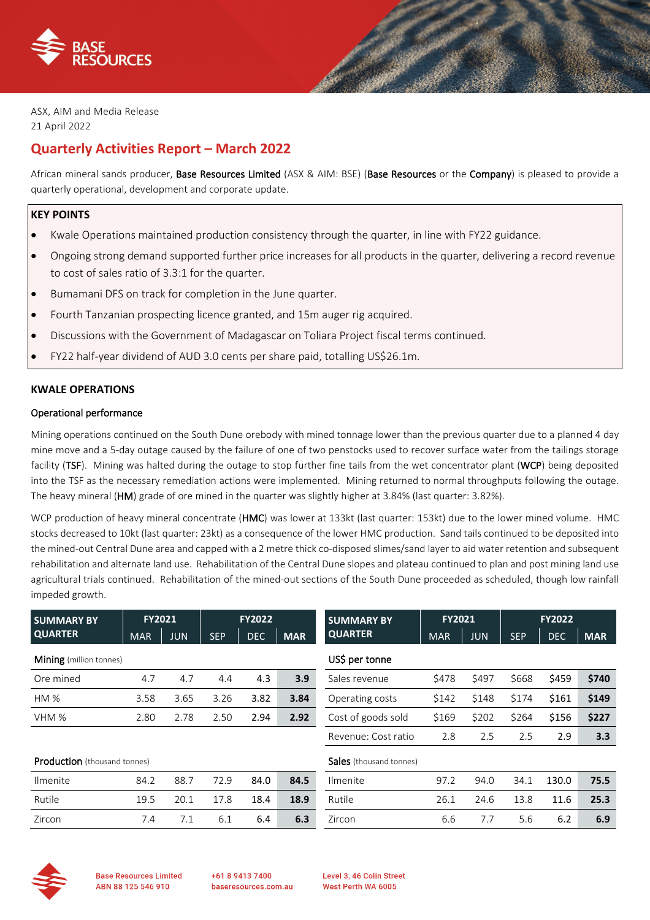



ASX, AIM and Media Release 21 April 2022

# **Quarterly Activities Report – March 2022**

African mineral sands producer, Base Resources Limited (ASX & AIM: BSE) (Base Resources or the Company) is pleased to provide a quarterly operational, development and corporate update.

## **KEY POINTS**

- Kwale Operations maintained production consistency through the quarter, in line with FY22 guidance.
- Ongoing strong demand supported further price increases for all products in the quarter, delivering a record revenue to cost of sales ratio of 3.3:1 for the quarter.
- Bumamani DFS on track for completion in the June quarter.
- Fourth Tanzanian prospecting licence granted, and 15m auger rig acquired.
- Discussions with the Government of Madagascar on Toliara Project fiscal terms continued.
- FY22 half-year dividend of AUD 3.0 cents per share paid, totalling US\$26.1m.

## **KWALE OPERATIONS**

## Operational performance

Mining operations continued on the South Dune orebody with mined tonnage lower than the previous quarter due to a planned 4 day mine move and a 5-day outage caused by the failure of one of two penstocks used to recover surface water from the tailings storage facility (TSF). Mining was halted during the outage to stop further fine tails from the wet concentrator plant (WCP) being deposited into the TSF as the necessary remediation actions were implemented. Mining returned to normal throughputs following the outage. The heavy mineral (HM) grade of ore mined in the quarter was slightly higher at 3.84% (last quarter: 3.82%).

WCP production of heavy mineral concentrate (HMC) was lower at 133kt (last quarter: 153kt) due to the lower mined volume. HMC stocks decreased to 10kt (last quarter: 23kt) as a consequence of the lower HMC production. Sand tails continued to be deposited into the mined-out Central Dune area and capped with a 2 metre thick co-disposed slimes/sand layer to aid water retention and subsequent rehabilitation and alternate land use. Rehabilitation of the Central Dune slopes and plateau continued to plan and post mining land use agricultural trials continued. Rehabilitation of the mined-out sections of the South Dune proceeded as scheduled, though low rainfall impeded growth.

| <b>SUMMARY BY</b>                   | <b>FY2021</b> |            | <b>FY2022</b> |            |            | <b>SUMMARY BY</b>              | <b>FY2021</b> |            | <b>FY2022</b> |            |            |
|-------------------------------------|---------------|------------|---------------|------------|------------|--------------------------------|---------------|------------|---------------|------------|------------|
| <b>QUARTER</b>                      | <b>MAR</b>    | <b>JUN</b> | <b>SEP</b>    | <b>DEC</b> | <b>MAR</b> | <b>QUARTER</b>                 | <b>MAR</b>    | <b>JUN</b> | <b>SEP</b>    | <b>DEC</b> | <b>MAR</b> |
| <b>Mining</b> (million tonnes)      |               |            |               |            |            | US\$ per tonne                 |               |            |               |            |            |
| Ore mined                           | 4.7           | 4.7        | 4.4           | 4.3        | 3.9        | Sales revenue                  | \$478         | \$497      | \$668         | \$459      | \$740      |
| HM %                                | 3.58          | 3.65       | 3.26          | 3.82       | 3.84       | Operating costs                | \$142         | \$148      | \$174         | \$161      | \$149      |
| VHM %                               | 2.80          | 2.78       | 2.50          | 2.94       | 2.92       | Cost of goods sold             | \$169         | \$202      | \$264         | \$156      | \$227      |
|                                     |               |            |               |            |            | Revenue: Cost ratio            | 2.8           | 2.5        | 2.5           | 2.9        | 3.3        |
| <b>Production</b> (thousand tonnes) |               |            |               |            |            | <b>Sales</b> (thousand tonnes) |               |            |               |            |            |
| Ilmenite                            | 84.2          | 88.7       | 72.9          | 84.0       | 84.5       | Ilmenite                       | 97.2          | 94.0       | 34.1          | 130.0      | 75.5       |
| Rutile                              | 19.5          | 20.1       | 17.8          | 18.4       | 18.9       | Rutile                         | 26.1          | 24.6       | 13.8          | 11.6       | 25.3       |
| Zircon                              | 7.4           | 7.1        | 6.1           | 6.4        | 6.3        | Zircon                         | 6.6           | 7.7        | 5.6           | 6.2        | 6.9        |
|                                     |               |            |               |            |            |                                |               |            |               |            |            |



**Base Resources Limited** ABN 88 125 546 910

+61 8 9413 7400 baseresources.com.au Level 3, 46 Colin Street West Perth WA 6005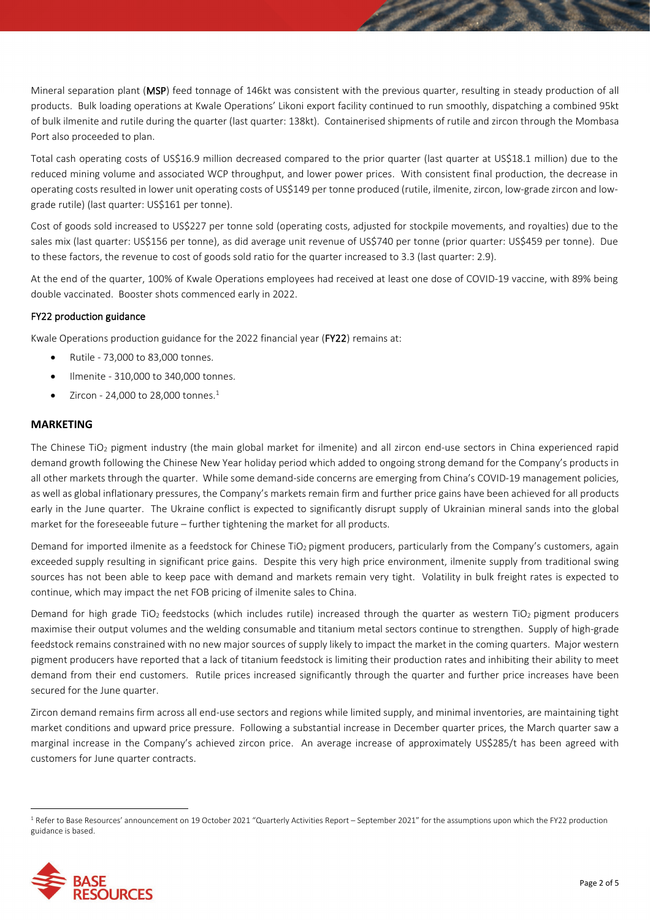Mineral separation plant (MSP) feed tonnage of 146kt was consistent with the previous quarter, resulting in steady production of all products. Bulk loading operations at Kwale Operations' Likoni export facility continued to run smoothly, dispatching a combined 95kt of bulk ilmenite and rutile during the quarter (last quarter: 138kt). Containerised shipments of rutile and zircon through the Mombasa Port also proceeded to plan.

Total cash operating costs of US\$16.9 million decreased compared to the prior quarter (last quarter at US\$18.1 million) due to the reduced mining volume and associated WCP throughput, and lower power prices. With consistent final production, the decrease in operating costs resulted in lower unit operating costs of US\$149 per tonne produced (rutile, ilmenite, zircon, low-grade zircon and lowgrade rutile) (last quarter: US\$161 per tonne).

Cost of goods sold increased to US\$227 per tonne sold (operating costs, adjusted for stockpile movements, and royalties) due to the sales mix (last quarter: US\$156 per tonne), as did average unit revenue of US\$740 per tonne (prior quarter: US\$459 per tonne). Due to these factors, the revenue to cost of goods sold ratio for the quarter increased to 3.3 (last quarter: 2.9).

At the end of the quarter, 100% of Kwale Operations employees had received at least one dose of COVID-19 vaccine, with 89% being double vaccinated. Booster shots commenced early in 2022.

## FY22 production guidance

Kwale Operations production guidance for the 2022 financial year (FY22) remains at:

- Rutile 73,000 to 83,000 tonnes.
- Ilmenite 310,000 to 340,000 tonnes.
- $\bullet$  Zircon 24,000 to 28,000 tonnes.<sup>1</sup>

## **MARKETING**

The Chinese TiO<sub>2</sub> pigment industry (the main global market for ilmenite) and all zircon end-use sectors in China experienced rapid demand growth following the Chinese New Year holiday period which added to ongoing strong demand for the Company's products in all other markets through the quarter. While some demand-side concerns are emerging from China's COVID-19 management policies, as well as global inflationary pressures, the Company's markets remain firm and further price gains have been achieved for all products early in the June quarter. The Ukraine conflict is expected to significantly disrupt supply of Ukrainian mineral sands into the global market for the foreseeable future – further tightening the market for all products.

Demand for imported ilmenite as a feedstock for Chinese TiO2 pigment producers, particularly from the Company's customers, again exceeded supply resulting in significant price gains. Despite this very high price environment, ilmenite supply from traditional swing sources has not been able to keep pace with demand and markets remain very tight. Volatility in bulk freight rates is expected to continue, which may impact the net FOB pricing of ilmenite sales to China.

Demand for high grade TiO<sub>2</sub> feedstocks (which includes rutile) increased through the quarter as western TiO<sub>2</sub> pigment producers maximise their output volumes and the welding consumable and titanium metal sectors continue to strengthen. Supply of high-grade feedstock remains constrained with no new major sources of supply likely to impact the market in the coming quarters. Major western pigment producers have reported that a lack of titanium feedstock is limiting their production rates and inhibiting their ability to meet demand from their end customers. Rutile prices increased significantly through the quarter and further price increases have been secured for the June quarter.

Zircon demand remains firm across all end-use sectors and regions while limited supply, and minimal inventories, are maintaining tight market conditions and upward price pressure. Following a substantial increase in December quarter prices, the March quarter saw a marginal increase in the Company's achieved zircon price. An average increase of approximately US\$285/t has been agreed with customers for June quarter contracts.

<sup>&</sup>lt;sup>1</sup> Refer to Base Resources' announcement on 19 October 2021 "Quarterly Activities Report – September 2021" for the assumptions upon which the FY22 production guidance is based.

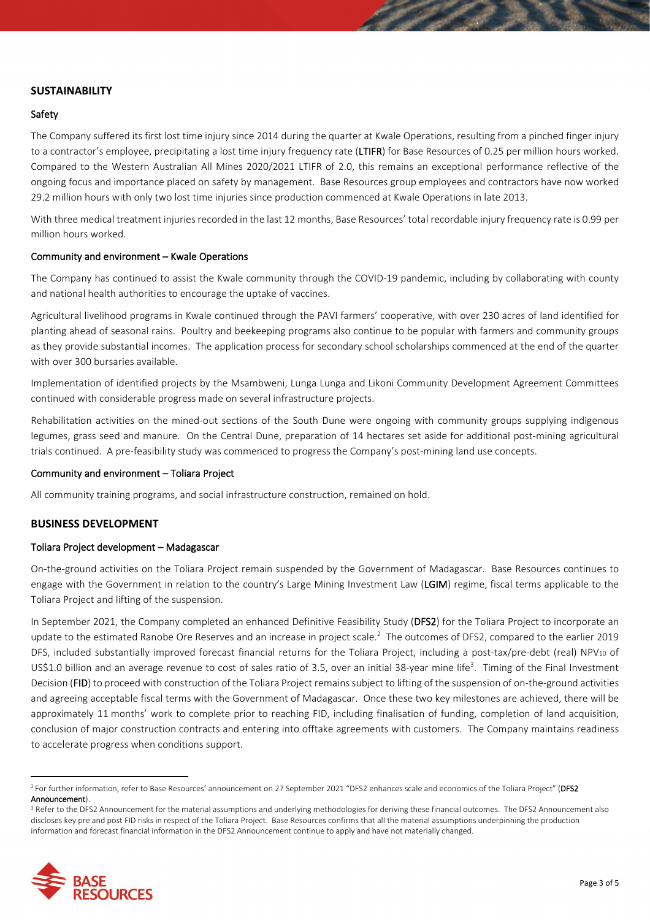## **SUSTAINABILITY**

## Safety

The Company suffered its first lost time injury since 2014 during the quarter at Kwale Operations, resulting from a pinched finger injury to a contractor's employee, precipitating a lost time injury frequency rate (LTIFR) for Base Resources of 0.25 per million hours worked. Compared to the Western Australian All Mines 2020/2021 LTIFR of 2.0, this remains an exceptional performance reflective of the ongoing focus and importance placed on safety by management. Base Resources group employees and contractors have now worked 29.2 million hours with only two lost time injuries since production commenced at Kwale Operations in late 2013.

With three medical treatment injuries recorded in the last 12 months, Base Resources' total recordable injury frequency rate is 0.99 per million hours worked.

## Community and environment – Kwale Operations

The Company has continued to assist the Kwale community through the COVID-19 pandemic, including by collaborating with county and national health authorities to encourage the uptake of vaccines.

Agricultural livelihood programs in Kwale continued through the PAVI farmers' cooperative, with over 230 acres of land identified for planting ahead of seasonal rains. Poultry and beekeeping programs also continue to be popular with farmers and community groups as they provide substantial incomes. The application process for secondary school scholarships commenced at the end of the quarter with over 300 bursaries available.

Implementation of identified projects by the Msambweni, Lunga Lunga and Likoni Community Development Agreement Committees continued with considerable progress made on several infrastructure projects.

Rehabilitation activities on the mined-out sections of the South Dune were ongoing with community groups supplying indigenous legumes, grass seed and manure. On the Central Dune, preparation of 14 hectares set aside for additional post-mining agricultural trials continued. A pre-feasibility study was commenced to progress the Company's post-mining land use concepts.

### Community and environment – Toliara Project

All community training programs, and social infrastructure construction, remained on hold.

## **BUSINESS DEVELOPMENT**

#### Toliara Project development – Madagascar

On-the-ground activities on the Toliara Project remain suspended by the Government of Madagascar. Base Resources continues to engage with the Government in relation to the country's Large Mining Investment Law (LGIM) regime, fiscal terms applicable to the Toliara Project and lifting of the suspension.

In September 2021, the Company completed an enhanced Definitive Feasibility Study (DFS2) for the Toliara Project to incorporate an update to the estimated Ranobe Ore Reserves and an increase in project scale.<sup>2</sup> The outcomes of DFS2, compared to the earlier 2019 DFS, included substantially improved forecast financial returns for the Toliara Project, including a post-tax/pre-debt (real) NPV<sub>10</sub> of US\$1.0 billion and an average revenue to cost of sales ratio of 3.5, over an initial 38-year mine life<sup>3</sup>. Timing of the Final Investment Decision (FID) to proceed with construction of the Toliara Project remains subject to lifting of the suspension of on-the-ground activities and agreeing acceptable fiscal terms with the Government of Madagascar. Once these two key milestones are achieved, there will be approximately 11 months' work to complete prior to reaching FID, including finalisation of funding, completion of land acquisition, conclusion of major construction contracts and entering into offtake agreements with customers. The Company maintains readiness to accelerate progress when conditions support.

discloses key pre and post FID risks in respect of the Toliara Project. Base Resources confirms that all the material assumptions underpinning the production information and forecast financial information in the DFS2 Announcement continue to apply and have not materially changed.



<sup>&</sup>lt;sup>2</sup> For further information, refer to Base Resources' announcement on 27 September 2021 "DFS2 enhances scale and economics of the Toliara Project" (DFS2 Announcement).<br><sup>3</sup> Refer to the DFS2 Announcement for the material assumptions and underlying methodologies for deriving these financial outcomes. The DFS2 Announcement also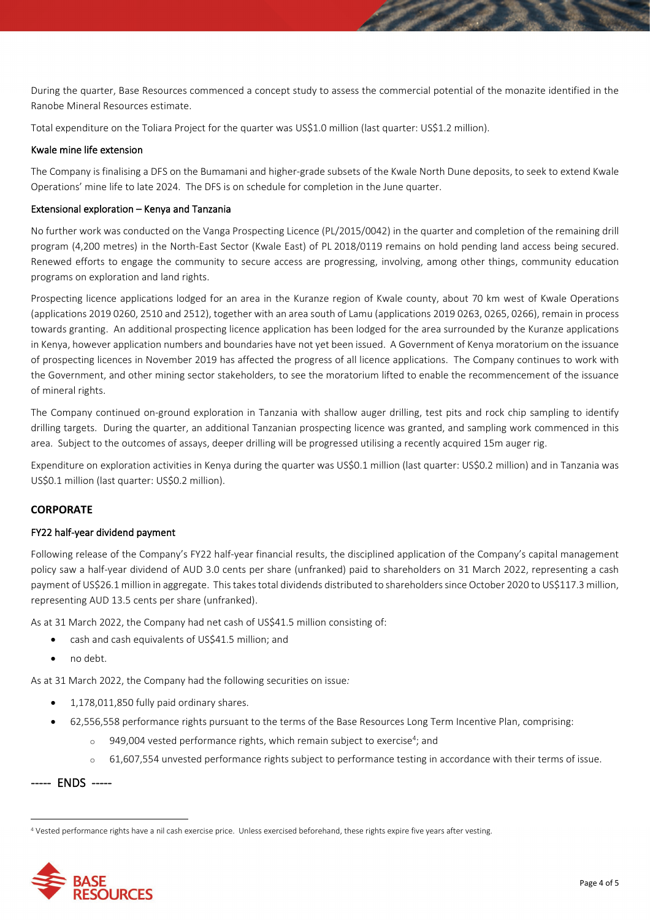During the quarter, Base Resources commenced a concept study to assess the commercial potential of the monazite identified in the Ranobe Mineral Resources estimate.

Total expenditure on the Toliara Project for the quarter was US\$1.0 million (last quarter: US\$1.2 million).

## Kwale mine life extension

The Company is finalising a DFS on the Bumamani and higher-grade subsets of the Kwale North Dune deposits, to seek to extend Kwale Operations' mine life to late 2024. The DFS is on schedule for completion in the June quarter.

## Extensional exploration – Kenya and Tanzania

No further work was conducted on the Vanga Prospecting Licence (PL/2015/0042) in the quarter and completion of the remaining drill program (4,200 metres) in the North-East Sector (Kwale East) of PL 2018/0119 remains on hold pending land access being secured. Renewed efforts to engage the community to secure access are progressing, involving, among other things, community education programs on exploration and land rights.

Prospecting licence applications lodged for an area in the Kuranze region of Kwale county, about 70 km west of Kwale Operations (applications 2019 0260, 2510 and 2512), together with an area south of Lamu (applications 2019 0263, 0265, 0266), remain in process towards granting. An additional prospecting licence application has been lodged for the area surrounded by the Kuranze applications in Kenya, however application numbers and boundaries have not yet been issued. A Government of Kenya moratorium on the issuance of prospecting licences in November 2019 has affected the progress of all licence applications. The Company continues to work with the Government, and other mining sector stakeholders, to see the moratorium lifted to enable the recommencement of the issuance of mineral rights.

The Company continued on-ground exploration in Tanzania with shallow auger drilling, test pits and rock chip sampling to identify drilling targets. During the quarter, an additional Tanzanian prospecting licence was granted, and sampling work commenced in this area. Subject to the outcomes of assays, deeper drilling will be progressed utilising a recently acquired 15m auger rig.

Expenditure on exploration activities in Kenya during the quarter was US\$0.1 million (last quarter: US\$0.2 million) and in Tanzania was US\$0.1 million (last quarter: US\$0.2 million).

## **CORPORATE**

## FY22 half-year dividend payment

Following release of the Company's FY22 half-year financial results, the disciplined application of the Company's capital management policy saw a half-year dividend of AUD 3.0 cents per share (unfranked) paid to shareholders on 31 March 2022, representing a cash payment of US\$26.1 million in aggregate. This takes total dividends distributed to shareholders since October 2020 to US\$117.3 million, representing AUD 13.5 cents per share (unfranked).

As at 31 March 2022, the Company had net cash of US\$41.5 million consisting of:

- cash and cash equivalents of US\$41.5 million; and
- no debt.

As at 31 March 2022, the Company had the following securities on issue*:*

- 1,178,011,850 fully paid ordinary shares.
- 62,556,558 performance rights pursuant to the terms of the Base Resources Long Term Incentive Plan, comprising:
	- $\circ$  949,004 vested performance rights, which remain subject to exercise<sup>4</sup>; and
	- o 61,607,554 unvested performance rights subject to performance testing in accordance with their terms of issue.

----- ENDS -----

<sup>4</sup> Vested performance rights have a nil cash exercise price. Unless exercised beforehand, these rights expire five years after vesting.